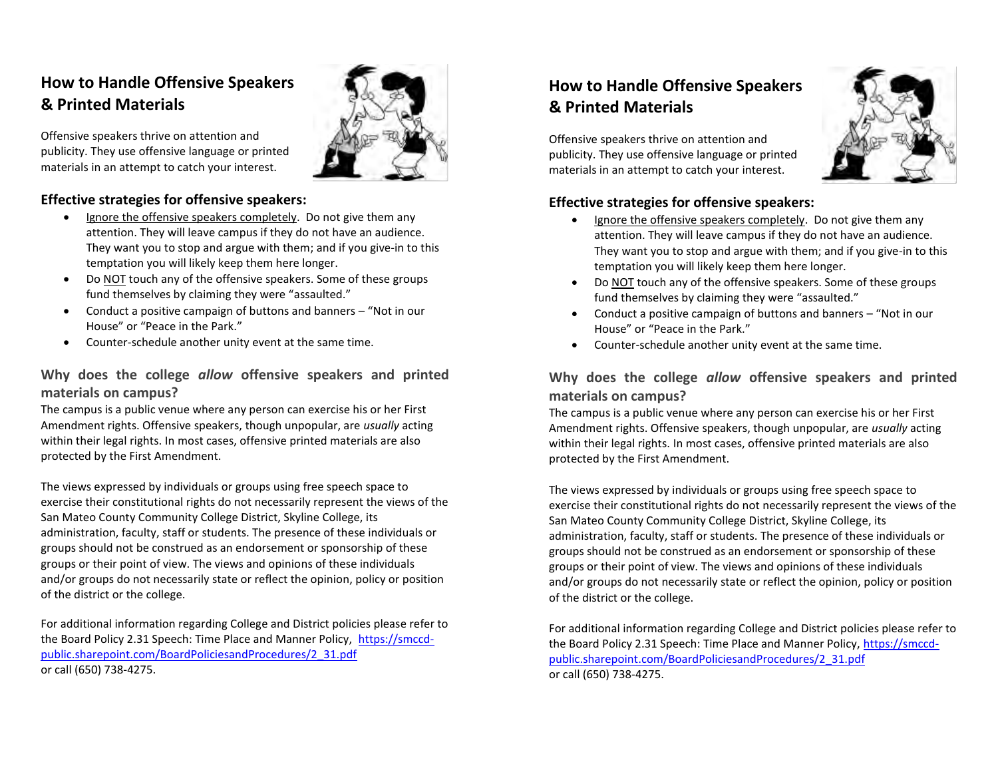# **How to Handle Offensive Speakers & Printed Materials**

Offensive speakers thrive on attention and publicity. They use offensive language or printed materials in an attempt to catch your interest.



- Ignore the offensive speakers completely. Do not give them any attention. They will leave campus if they do not have an audience. They want you to stop and argue with them; and if you give-in to this temptation you will likely keep them here longer.
- Do NOT touch any of the offensive speakers. Some of these groups fund themselves by claiming they were "assaulted."
- Conduct a positive campaign of buttons and banners "Not in our House" or "Peace in the Park."
- Counter-schedule another unity event at the same time.

## **Why does the college** *allow* **offensive speakers and printed materials on campus?**

The campus is a public venue where any person can exercise his or her First Amendment rights. Offensive speakers, though unpopular, are *usually* acting within their legal rights. In most cases, offensive printed materials are also protected by the First Amendment.

The views expressed by individuals or groups using free speech space to exercise their constitutional rights do not necessarily represent the views of the San Mateo County Community College District, Skyline College, its administration, faculty, staff or students. The presence of these individuals or groups should not be construed as an endorsement or sponsorship of these groups or their point of view. The views and opinions of these individuals and/or groups do not necessarily state or reflect the opinion, policy or position of the district or the college.

For additional information regarding College and District policies please refer to the Board Policy 2.31 Speech: Time Place and Manner Policy, [https://smccd](https://smccd-public.sharepoint.com/BoardPoliciesandProcedures/2_31.pdf)[public.sharepoint.com/BoardPoliciesandProcedures/2\\_31.pdf](https://smccd-public.sharepoint.com/BoardPoliciesandProcedures/2_31.pdf) or call (650) 738-4275.

## **How to Handle Offensive Speakers & Printed Materials**

Offensive speakers thrive on attention and publicity. They use offensive language or printed materials in an attempt to catch your interest.



#### **Effective strategies for offensive speakers:**

- Ignore the offensive speakers completely. Do not give them any attention. They will leave campus if they do not have an audience. They want you to stop and argue with them; and if you give-in to this temptation you will likely keep them here longer.
- Do NOT touch any of the offensive speakers. Some of these groups fund themselves by claiming they were "assaulted."
- Conduct a positive campaign of buttons and banners "Not in our House" or "Peace in the Park."
- Counter-schedule another unity event at the same time.

## **Why does the college** *allow* **offensive speakers and printed materials on campus?**

The campus is a public venue where any person can exercise his or her First Amendment rights. Offensive speakers, though unpopular, are *usually* acting within their legal rights. In most cases, offensive printed materials are also protected by the First Amendment.

The views expressed by individuals or groups using free speech space to exercise their constitutional rights do not necessarily represent the views of the San Mateo County Community College District, Skyline College, its administration, faculty, staff or students. The presence of these individuals or groups should not be construed as an endorsement or sponsorship of these groups or their point of view. The views and opinions of these individuals and/or groups do not necessarily state or reflect the opinion, policy or position of the district or the college.

For additional information regarding College and District policies please refer to the Board Policy 2.31 Speech: Time Place and Manner Policy, [https://smccd](https://smccd-public.sharepoint.com/BoardPoliciesandProcedures/2_31.pdf)[public.sharepoint.com/BoardPoliciesandProcedures/2\\_31.pdf](https://smccd-public.sharepoint.com/BoardPoliciesandProcedures/2_31.pdf) or call (650) 738-4275.